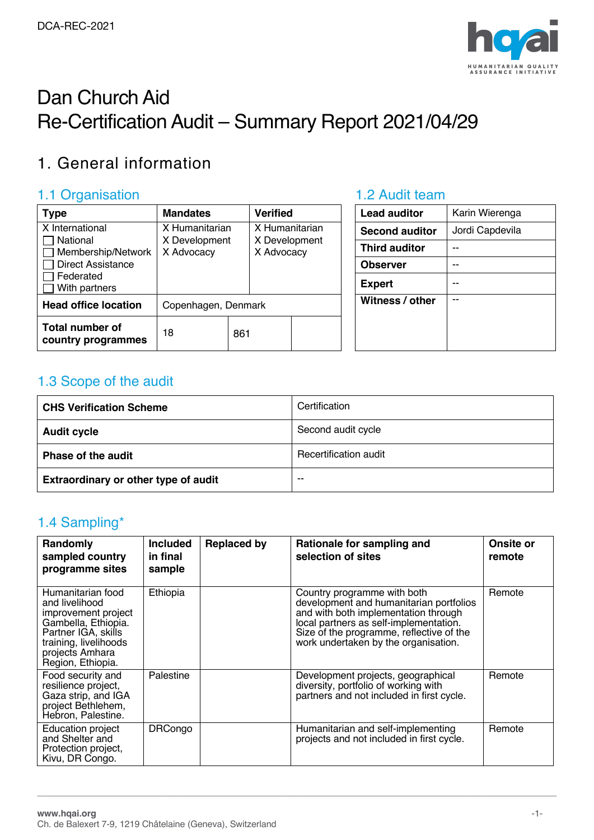

# Dan Church Aid Re-Certification Audit – Summary Report 2021/04/29

# 1. General information

### 1.1 Organisation **1.2 Audit team**

| <b>Type</b>                                  | <b>Mandates</b>             |     | <b>Verified</b>             |  | <b>Lead auditor</b>   | Karin Wierenga  |
|----------------------------------------------|-----------------------------|-----|-----------------------------|--|-----------------------|-----------------|
| X International                              | X Humanitarian              |     | X Humanitarian              |  | <b>Second auditor</b> | Jordi Capdevila |
| <b>□ National</b><br>Membership/Network      | X Development<br>X Advocacy |     | X Development<br>X Advocacy |  | <b>Third auditor</b>  | --              |
| <b>Direct Assistance</b>                     |                             |     |                             |  | <b>Observer</b>       | --              |
| Federated<br>With partners                   |                             |     |                             |  | <b>Expert</b>         | --              |
| <b>Head office location</b>                  | Copenhagen, Denmark         |     |                             |  | Witness / other       |                 |
| <b>Total number of</b><br>country programmes | 18                          | 861 |                             |  |                       |                 |

| Lead auditor          | Karin Wierenga  |
|-----------------------|-----------------|
| <b>Second auditor</b> | Jordi Capdevila |
| <b>Third auditor</b>  |                 |
| <b>Observer</b>       |                 |
| <b>Expert</b>         |                 |
| Witness / other       |                 |
|                       |                 |
|                       |                 |
|                       |                 |

### 1.3 Scope of the audit

| <b>CHS Verification Scheme</b>       | Certification         |
|--------------------------------------|-----------------------|
| <b>Audit cycle</b>                   | Second audit cycle    |
| Phase of the audit                   | Recertification audit |
| Extraordinary or other type of audit | $- -$                 |

### 1.4 Sampling\*

| Randomly<br>sampled country<br>programme sites                                                                                                                            | <b>Included</b><br>in final<br>sample | <b>Replaced by</b> | Rationale for sampling and<br>selection of sites                                                                                                                                                                                             | Onsite or<br>remote |
|---------------------------------------------------------------------------------------------------------------------------------------------------------------------------|---------------------------------------|--------------------|----------------------------------------------------------------------------------------------------------------------------------------------------------------------------------------------------------------------------------------------|---------------------|
| Humanitarian food<br>and livelihood<br>improvement project<br>Gambella, Ethiopia.<br>Partner IGA, skills<br>training, livelihoods<br>projects Amhara<br>Region, Ethiopia. | Ethiopia                              |                    | Country programme with both<br>development and humanitarian portfolios<br>and with both implementation through<br>local partners as self-implementation.<br>Size of the programme, reflective of the<br>work undertaken by the organisation. | Remote              |
| Food security and<br>resilience project,<br>Gaza strip, and IGA<br>project Bethlehem,<br>Hebron, Palestine.                                                               | Palestine                             |                    | Development projects, geographical<br>diversity, portfolio of working with<br>partners and not included in first cycle.                                                                                                                      | Remote              |
| Education project<br>and Shelter and<br>Protection project,<br>Kivu, DR Congo.                                                                                            | <b>DRCongo</b>                        |                    | Humanitarian and self-implementing<br>projects and not included in first cycle.                                                                                                                                                              | Remote              |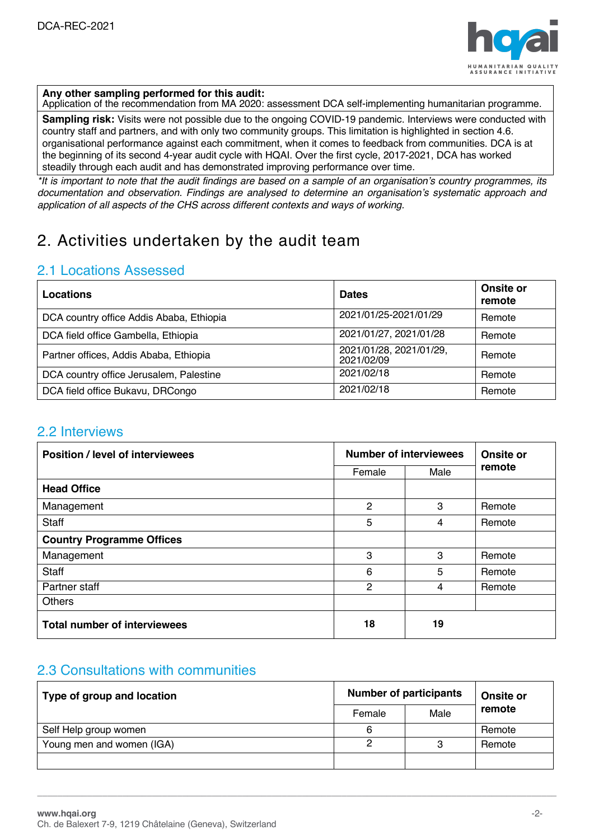

#### **Any other sampling performed for this audit:**

Application of the recommendation from MA 2020: assessment DCA self-implementing humanitarian programme.

**Sampling risk:** Visits were not possible due to the ongoing COVID-19 pandemic. Interviews were conducted with country staff and partners, and with only two community groups. This limitation is highlighted in section 4.6. organisational performance against each commitment, when it comes to feedback from communities. DCA is at the beginning of its second 4-year audit cycle with HQAI. Over the first cycle, 2017-2021, DCA has worked steadily through each audit and has demonstrated improving performance over time.

\*It is important to note that the audit findings are based on a sample of an organisation's country programmes, its *documentation and observation. Findings are analysed to determine an organisation's systematic approach and application of all aspects of the CHS across different contexts and ways of working.*

### 2. Activities undertaken by the audit team

### 2.1 Locations Assessed

| <b>Locations</b>                         | <b>Dates</b>                          | Onsite or<br>remote |
|------------------------------------------|---------------------------------------|---------------------|
| DCA country office Addis Ababa, Ethiopia | 2021/01/25-2021/01/29                 | Remote              |
| DCA field office Gambella, Ethiopia      | 2021/01/27, 2021/01/28                | Remote              |
| Partner offices, Addis Ababa, Ethiopia   | 2021/01/28, 2021/01/29,<br>2021/02/09 | Remote              |
| DCA country office Jerusalem, Palestine  | 2021/02/18                            | Remote              |
| DCA field office Bukavu, DRCongo         | 2021/02/18                            | Remote              |

### 2.2 Interviews

| <b>Position / level of interviewees</b> | <b>Number of interviewees</b> | Onsite or |        |
|-----------------------------------------|-------------------------------|-----------|--------|
|                                         | Female                        | Male      | remote |
| <b>Head Office</b>                      |                               |           |        |
| Management                              | $\overline{2}$                | 3         | Remote |
| <b>Staff</b>                            | 5                             | 4         | Remote |
| <b>Country Programme Offices</b>        |                               |           |        |
| Management                              | 3                             | 3         | Remote |
| <b>Staff</b>                            | 6                             | 5         | Remote |
| Partner staff                           | 2                             | 4         | Remote |
| <b>Others</b>                           |                               |           |        |
| <b>Total number of interviewees</b>     | 18                            | 19        |        |

### 2.3 Consultations with communities

| Type of group and location | <b>Number of participants</b> | Onsite or |        |
|----------------------------|-------------------------------|-----------|--------|
|                            | Female                        | Male      | remote |
| Self Help group women      | 6                             |           | Remote |
| Young men and women (IGA)  |                               | 3         | Remote |
|                            |                               |           |        |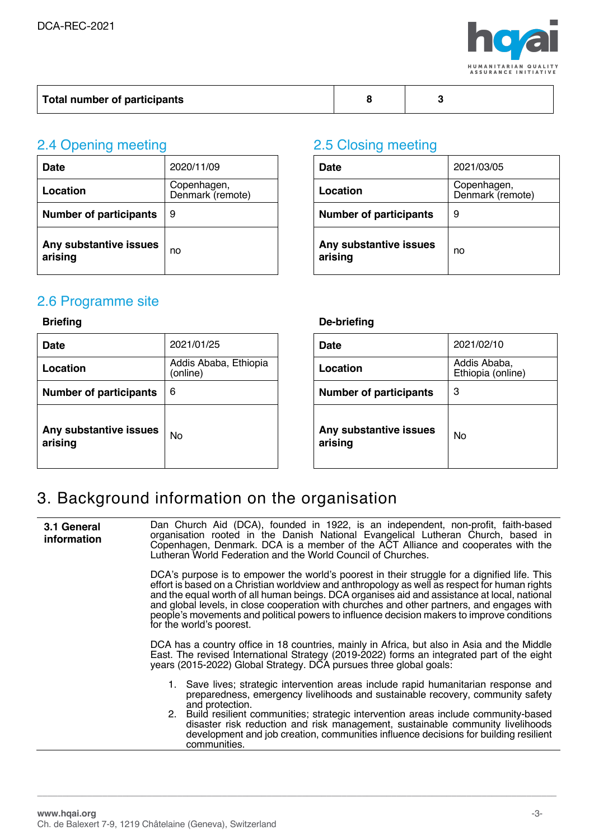

| Total number of participants |  |  |  |
|------------------------------|--|--|--|
|------------------------------|--|--|--|

# 2.4 Opening meeting 2.5 Closing meeting

| <b>Date</b>                       | 2020/11/09                      | <b>Date</b>                       | 2021/03/05              |
|-----------------------------------|---------------------------------|-----------------------------------|-------------------------|
| Location                          | Copenhagen,<br>Denmark (remote) | Location                          | Copenhage<br>Denmark (r |
| <b>Number of participants</b>     | 9                               | <b>Number of participants</b>     | 9                       |
| Any substantive issues<br>arising | no                              | Any substantive issues<br>arising | no                      |

| 2020/11/09                      | <b>Date</b>                       | 2021/03/05                      |
|---------------------------------|-----------------------------------|---------------------------------|
| Copenhagen,<br>Denmark (remote) | Location                          | Copenhagen,<br>Denmark (remote) |
| 9                               | <b>Number of participants</b>     | 9                               |
| no                              | Any substantive issues<br>arising | no                              |

### 2.6 Programme site

| <b>Date</b>                       | 2021/01/25                        | <b>Date</b>                       | 2021/02/10                       |
|-----------------------------------|-----------------------------------|-----------------------------------|----------------------------------|
| Location                          | Addis Ababa, Ethiopia<br>(online) | Location                          | <b>Addis Abab</b><br>Ethiopia (o |
| <b>Number of participants</b>     | 6                                 | <b>Number of participants</b>     | 3                                |
| Any substantive issues<br>arising | <b>No</b>                         | Any substantive issues<br>arising | No                               |

### **Briefing De-briefing**

| 2021/01/25                        | <b>Date</b>                       | 2021/02/10                        |
|-----------------------------------|-----------------------------------|-----------------------------------|
| Addis Ababa, Ethiopia<br>(online) | Location                          | Addis Ababa,<br>Ethiopia (online) |
| 6                                 | <b>Number of participants</b>     | 3                                 |
| No                                | Any substantive issues<br>arising | No                                |

## 3. Background information on the organisation

| 3.1 General<br><i>information</i> | Dan Church Aid (DCA), founded in 1922, is an independent, non-profit, faith-based<br>organisation rooted in the Danish National Evangelical Lutheran Church, based in<br>Copenhagen, Denmark. DCA is a member of the ACT Alliance and cooperates with the<br>Lutheran World Federation and the World Council of Churches.                                                                                                                                                                                             |  |  |
|-----------------------------------|-----------------------------------------------------------------------------------------------------------------------------------------------------------------------------------------------------------------------------------------------------------------------------------------------------------------------------------------------------------------------------------------------------------------------------------------------------------------------------------------------------------------------|--|--|
|                                   | DCA's purpose is to empower the world's poorest in their struggle for a dignified life. This<br>effort is based on a Christian worldview and anthropology as well as respect for human rights<br>and the equal worth of all human beings. DCA organises aid and assistance at local, national<br>and global levels, in close cooperation with churches and other partners, and engages with<br>people's movements and political powers to influence decision makers to improve conditions<br>for the world's poorest. |  |  |
|                                   | DCA has a country office in 18 countries, mainly in Africa, but also in Asia and the Middle<br>East. The revised International Strategy (2019-2022) forms an integrated part of the eight<br>years (2015-2022) Global Strategy. DCA pursues three global goals:                                                                                                                                                                                                                                                       |  |  |
|                                   | 1. Save lives; strategic intervention areas include rapid humanitarian response and<br>preparedness, emergency livelihoods and sustainable recovery, community safety<br>and protection.<br>2. Build resilient communities; strategic intervention areas include community-based<br>disaster risk reduction and risk management, sustainable community livelihoods<br>development and job creation, communities influence decisions for building resilient<br>communities.                                            |  |  |
|                                   |                                                                                                                                                                                                                                                                                                                                                                                                                                                                                                                       |  |  |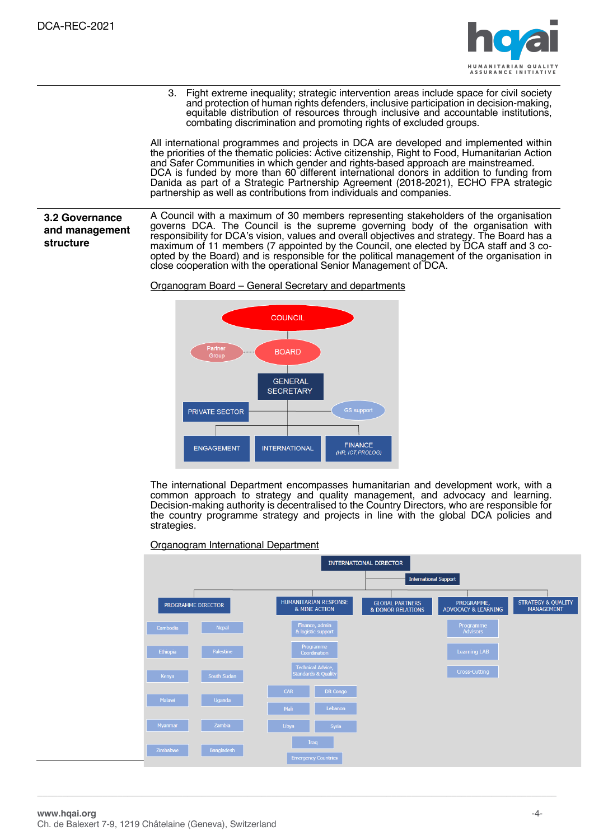

3. Fight extreme inequality; strategic intervention areas include space for civil society and protection of human rights defenders, inclusive participation in decision-making, equitable distribution of resources through inclusive and accountable institutions, combating discrimination and promoting rights of excluded groups.

All international programmes and projects in DCA are developed and implemented within the priorities of the thematic policies: Active citizenship, Right to Food, Humanitarian Action and Safer Communities in which gender and rights-based approach are mainstreamed. DCA is funded by more than 60 different international donors in addition to funding from Danida as part of a Strategic Partnership Agreement (2018-2021), ECHO FPA strategic partnership as well as contributions from individuals and companies.

### **3.2 Governance and management structure**

A Council with a maximum of 30 members representing stakeholders of the organisation governs DCA. The Council is the supreme governing body of the organisation with responsibility for DCA's vision, values and overall objectives and strategy. The Board has a maximum of 11 members (7 appointed by the Council, one elected by DCA staff and 3 coopted by the Board) and is responsible for the political management of the organisation in close cooperation with the operational Senior Management of DCA.

#### Organogram Board – General Secretary and departments



The international Department encompasses humanitarian and development work, with a common approach to strategy and quality management, and advocacy and learning. Decision-making authority is decentralised to the Country Directors, who are responsible for the country programme strategy and projects in line with the global DCA policies and strategies.

Organogram International Department

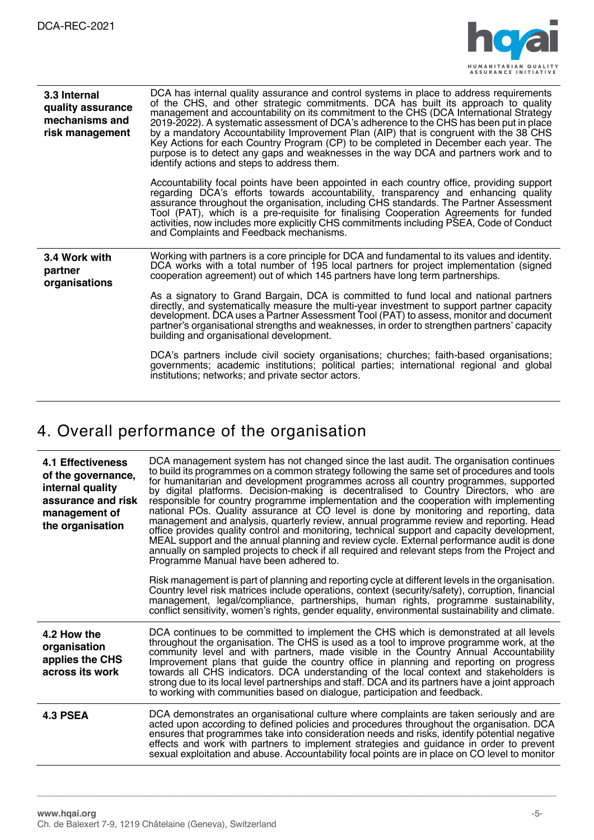

| 3.3 Internal<br>quality assurance<br>mechanisms and<br>risk management | DCA has internal quality assurance and control systems in place to address requirements<br>of the CHS, and other strategic commitments. DCA has built its approach to quality<br>management and accountability on its commitment to the CHS (DCA International Strategy<br>2019-2022). A systematic assessment of DCA's adherence to the CHS has been put in place<br>by a mandatory Accountability Improvement Plan (AIP) that is congruent with the 38 CHS<br>Key Actions for each Country Program (CP) to be completed in December each year. The<br>purpose is to detect any gaps and weaknesses in the way DCA and partners work and to<br>identify actions and steps to address them. |
|------------------------------------------------------------------------|---------------------------------------------------------------------------------------------------------------------------------------------------------------------------------------------------------------------------------------------------------------------------------------------------------------------------------------------------------------------------------------------------------------------------------------------------------------------------------------------------------------------------------------------------------------------------------------------------------------------------------------------------------------------------------------------|
|                                                                        | Accountability focal points have been appointed in each country office, providing support<br>regarding DCA's efforts towards accountability, transparency and enhancing quality<br>assurance throughout the organisation, including CHS standards. The Partner Assessment<br>Tool (PAT), which is a pre-requisite for finalising Cooperation Agreements for funded<br>activities, now includes more explicitly CHS commitments including PSEA, Code of Conduct<br>and Complaints and Feedback mechanisms.                                                                                                                                                                                   |
| 3.4 Work with<br>partner<br>organisations                              | Working with partners is a core principle for DCA and fundamental to its values and identity.<br>DCA works with a total number of 195 local partners for project implementation (signed<br>cooperation agreement) out of which 145 partners have long term partnerships.                                                                                                                                                                                                                                                                                                                                                                                                                    |
|                                                                        | As a signatory to Grand Bargain, DCA is committed to fund local and national partners<br>directly, and systematically measure the multi-year investment to support partner capacity<br>development. DCA uses a Partner Assessment Tool (PAT) to assess, monitor and document<br>partner's organisational strengths and weaknesses, in order to strengthen partners' capacity<br>building and organisational development.                                                                                                                                                                                                                                                                    |
|                                                                        | DCA's partners include civil society organisations; churches; faith-based organisations;<br>governments; academic institutions; political parties; international regional and global<br>institutions; networks; and private sector actors.                                                                                                                                                                                                                                                                                                                                                                                                                                                  |

# 4. Overall performance of the organisation

| <b>4.1 Effectiveness</b><br>of the governance,<br>internal quality<br>assurance and risk<br>management of<br>the organisation | DCA management system has not changed since the last audit. The organisation continues<br>to build its programmes on a common strategy following the same set of procedures and tools<br>for humanitarian and development programmes across all country programmes, supported<br>by digital platforms. Decision-making is decentralised to Country Directors, who are<br>responsible for country programme implementation and the cooperation with implementing<br>national POs. Quality assurance at CO level is done by monitoring and reporting, data<br>management and analysis, quarterly review, annual programme review and reporting. Head<br>office provides quality control and monitoring, technical support and capacity development,<br>MEAL support and the annual planning and review cycle. External performance audit is done<br>annually on sampled projects to check if all required and relevant steps from the Project and<br>Programme Manual have been adhered to. |
|-------------------------------------------------------------------------------------------------------------------------------|-------------------------------------------------------------------------------------------------------------------------------------------------------------------------------------------------------------------------------------------------------------------------------------------------------------------------------------------------------------------------------------------------------------------------------------------------------------------------------------------------------------------------------------------------------------------------------------------------------------------------------------------------------------------------------------------------------------------------------------------------------------------------------------------------------------------------------------------------------------------------------------------------------------------------------------------------------------------------------------------|
|                                                                                                                               | Risk management is part of planning and reporting cycle at different levels in the organisation.<br>Country level risk matrices include operations, context (security/safety), corruption, financial<br>management, legal/compliance, partnerships, human rights, programme sustainability,<br>conflict sensitivity, women's rights, gender equality, environmental sustainability and climate.                                                                                                                                                                                                                                                                                                                                                                                                                                                                                                                                                                                           |
| 4.2 How the<br>organisation<br>applies the CHS<br>across its work                                                             | DCA continues to be committed to implement the CHS which is demonstrated at all levels<br>throughout the organisation. The CHS is used as a tool to improve programme work, at the<br>community level and with partners, made visible in the Country Annual Accountability<br>Improvement plans that guide the country office in planning and reporting on progress<br>towards all CHS indicators. DCA understanding of the local context and stakeholders is<br>strong due to its local level partnerships and staff. DCA and its partners have a joint approach<br>to working with communities based on dialogue, participation and feedback.                                                                                                                                                                                                                                                                                                                                           |
| <b>4.3 PSEA</b>                                                                                                               | DCA demonstrates an organisational culture where complaints are taken seriously and are<br>acted upon according to defined policies and procedures throughout the organisation. DCA<br>ensures that programmes take into consideration needs and risks, identify potential negative<br>effects and work with partners to implement strategies and guidance in order to prevent<br>sexual exploitation and abuse. Accountability focal points are in place on CO level to monitor                                                                                                                                                                                                                                                                                                                                                                                                                                                                                                          |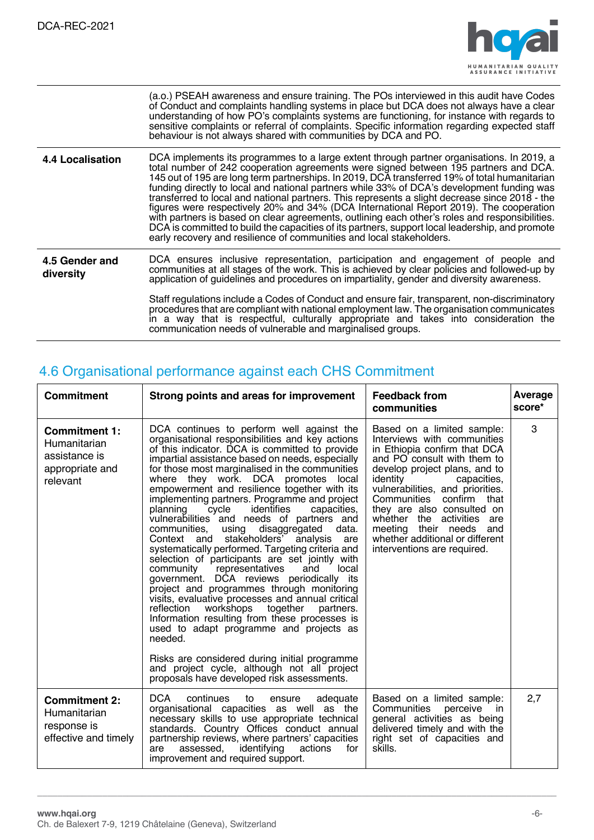

|                             | (a.o.) PSEAH awareness and ensure training. The POs interviewed in this audit have Codes<br>of Conduct and complaints handling systems in place but DCA does not always have a clear<br>understanding of how PO's complaints systems are functioning, for instance with regards to<br>sensitive complaints or referral of complaints. Specific information regarding expected staff<br>behaviour is not always shared with communities by DCA and PO.                                                                                                                                                                                                                                                                                                                                                                                                     |
|-----------------------------|-----------------------------------------------------------------------------------------------------------------------------------------------------------------------------------------------------------------------------------------------------------------------------------------------------------------------------------------------------------------------------------------------------------------------------------------------------------------------------------------------------------------------------------------------------------------------------------------------------------------------------------------------------------------------------------------------------------------------------------------------------------------------------------------------------------------------------------------------------------|
| 4.4 Localisation            | DCA implements its programmes to a large extent through partner organisations. In 2019, a<br>total number of 242 cooperation agreements were signed between 195 partners and DCA.<br>145 out of 195 are long term partnerships. In 2019, DCA transferred 19% of total humanitarian<br>funding directly to local and national partners while 33% of DCA's development funding was<br>transferred to local and national partners. This represents a slight decrease since 2018 - the<br>figures were respectively 20% and 34% (DCA International Report 2019). The cooperation<br>with partners is based on clear agreements, outlining each other's roles and responsibilities.<br>DCA is committed to build the capacities of its partners, support local leadership, and promote<br>early recovery and resilience of communities and local stakeholders. |
| 4.5 Gender and<br>diversity | DCA ensures inclusive representation, participation and engagement of people and<br>communities at all stages of the work. This is achieved by clear policies and followed-up by<br>application of quidelines and procedures on impartiality, gender and diversity awareness.                                                                                                                                                                                                                                                                                                                                                                                                                                                                                                                                                                             |
|                             | Staff regulations include a Codes of Conduct and ensure fair, transparent, non-discriminatory<br>procedures that are compliant with national employment law. The organisation communicates<br>in a way that is respectful, culturally appropriate and takes into consideration the<br>communication needs of vulnerable and marginalised groups.                                                                                                                                                                                                                                                                                                                                                                                                                                                                                                          |

# 4.6 Organisational performance against each CHS Commitment

| Commitment                                                                           | Strong points and areas for improvement                                                                                                                                                                                                                                                                                                                                                                                                                                                                                                                                                                                                                                                                                                                                                                                                                                                                                                                                                                                                                                                                                                                                                   | <b>Feedback from</b><br>communities                                                                                                                                                                                                                                                                                                                                                                           | Average<br>score* |
|--------------------------------------------------------------------------------------|-------------------------------------------------------------------------------------------------------------------------------------------------------------------------------------------------------------------------------------------------------------------------------------------------------------------------------------------------------------------------------------------------------------------------------------------------------------------------------------------------------------------------------------------------------------------------------------------------------------------------------------------------------------------------------------------------------------------------------------------------------------------------------------------------------------------------------------------------------------------------------------------------------------------------------------------------------------------------------------------------------------------------------------------------------------------------------------------------------------------------------------------------------------------------------------------|---------------------------------------------------------------------------------------------------------------------------------------------------------------------------------------------------------------------------------------------------------------------------------------------------------------------------------------------------------------------------------------------------------------|-------------------|
| <b>Commitment 1:</b><br>Humanitarian<br>assistance is<br>appropriate and<br>relevant | DCA continues to perform well against the<br>organisational responsibilities and key actions<br>of this indicator. DCA is committed to provide<br>impartial assistance based on needs, especially<br>for those most marginalised in the communities<br>where they work. DCA promotes local<br>empowerment and resilience together with its<br>implementing partners. Programme and project<br>identifies<br>planning<br>cycle<br>capacities,<br>vulnerabilities and needs of partners and<br>communities,<br>using disaggregated<br>data.<br>Context and stakeholders' analysis<br>are<br>systematically performed. Targeting criteria and<br>selection of participants are set jointly with<br>community representatives<br>and<br>local<br>government. DCA reviews periodically its<br>project and programmes through monitoring<br>visits, evaluative processes and annual critical<br>reflection<br>workshops together partners.<br>Information resulting from these processes is<br>used to adapt programme and projects as<br>needed.<br>Risks are considered during initial programme<br>and project cycle, although not all project<br>proposals have developed risk assessments. | Based on a limited sample:<br>Interviews with communities<br>in Ethiopia confirm that DCA<br>and PO consult with them to<br>develop project plans, and to<br>identity<br>capacities,<br>vulnerabilities, and priorities.<br>Communities confirm that<br>they are also consulted on<br>whether the activities are<br>meeting their needs and<br>whether additional or different<br>interventions are required. | 3                 |
| <b>Commitment 2:</b><br>Humanitarian<br>response is<br>effective and timely          | DCA D<br>continues<br>adequate<br>to<br>ensure<br>organisational capacities as well as the<br>necessary skills to use appropriate technical<br>standards. Country Offices conduct annual<br>partnership reviews, where partners' capacities<br>assessed,<br>identifying<br>actions<br>for<br>are<br>improvement and required support.                                                                                                                                                                                                                                                                                                                                                                                                                                                                                                                                                                                                                                                                                                                                                                                                                                                     | Based on a limited sample:<br>Communities perceive<br><sub>in</sub><br>general activities as being<br>delivered timely and with the<br>right set of capacities and<br>skills.                                                                                                                                                                                                                                 | 2,7               |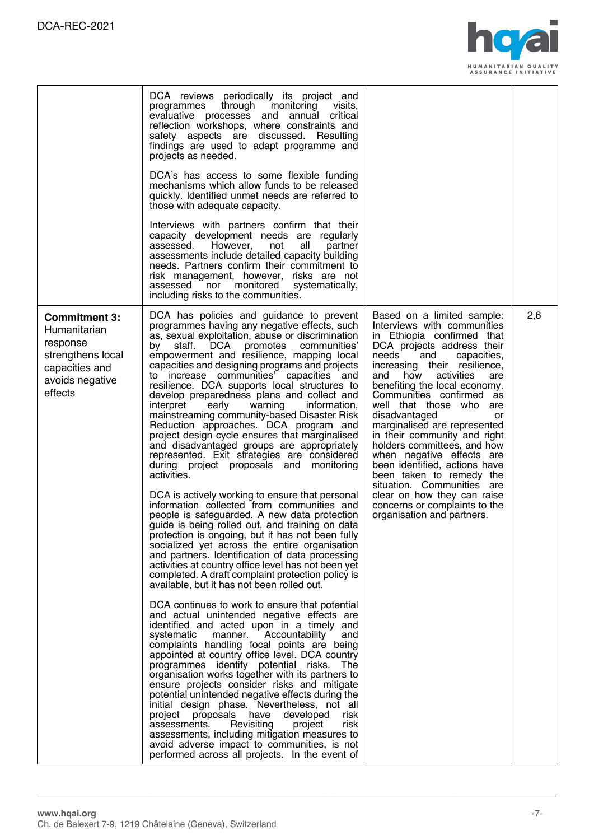

|                                                                                                                       | DCA reviews periodically its project and<br>through monitoring<br>programmes<br>visits.<br>critical<br>evaluative processes and annual<br>reflection workshops, where constraints and<br>safety aspects are discussed. Resulting<br>findings are used to adapt programme and<br>projects as needed.<br>DCA's has access to some flexible funding<br>mechanisms which allow funds to be released<br>quickly. Identified unmet needs are referred to<br>those with adequate capacity.<br>Interviews with partners confirm that their<br>capacity development needs are regularly<br>assessed.<br>However,<br>not<br>all<br>partner<br>assessments include detailed capacity building<br>needs. Partners confirm their commitment to<br>risk management, however, risks are not<br>monitored<br>systematically,<br>assessed<br>nor<br>including risks to the communities.                                                                                                                                                                                                                                                                                                                                                                                                                                                                                                                                                                                                                                                                                                                                                                                                                                                                                                                                                                                                                                                                                                                                                                                                                                                    |                                                                                                                                                                                                                                                                                                                                                                                                                                                                                                                                                                                                                                                             |     |
|-----------------------------------------------------------------------------------------------------------------------|---------------------------------------------------------------------------------------------------------------------------------------------------------------------------------------------------------------------------------------------------------------------------------------------------------------------------------------------------------------------------------------------------------------------------------------------------------------------------------------------------------------------------------------------------------------------------------------------------------------------------------------------------------------------------------------------------------------------------------------------------------------------------------------------------------------------------------------------------------------------------------------------------------------------------------------------------------------------------------------------------------------------------------------------------------------------------------------------------------------------------------------------------------------------------------------------------------------------------------------------------------------------------------------------------------------------------------------------------------------------------------------------------------------------------------------------------------------------------------------------------------------------------------------------------------------------------------------------------------------------------------------------------------------------------------------------------------------------------------------------------------------------------------------------------------------------------------------------------------------------------------------------------------------------------------------------------------------------------------------------------------------------------------------------------------------------------------------------------------------------------|-------------------------------------------------------------------------------------------------------------------------------------------------------------------------------------------------------------------------------------------------------------------------------------------------------------------------------------------------------------------------------------------------------------------------------------------------------------------------------------------------------------------------------------------------------------------------------------------------------------------------------------------------------------|-----|
| <b>Commitment 3:</b><br>Humanitarian<br>response<br>strengthens local<br>capacities and<br>avoids negative<br>effects | DCA has policies and guidance to prevent<br>programmes having any negative effects, such<br>as, sexual exploitation, abuse or discrimination<br>DCA<br>promotes<br>staff.<br>communities'<br>by<br>empowerment and resilience, mapping local<br>capacities and designing programs and projects<br>to increase communities' capacities and<br>resilience. DCA supports local structures to<br>develop preparedness plans and collect and<br>interpret<br>information,<br>early<br>warning<br>mainstreaming community-based Disaster Risk<br>Reduction approaches. DCA program and<br>project design cycle ensures that marginalised<br>and disadvantaged groups are appropriately<br>represented. Exit strategies are considered<br>during project proposals and monitoring<br>activities.<br>DCA is actively working to ensure that personal<br>information collected from communities and<br>people is safeguarded. A new data protection<br>guide is being rolled out, and training on data<br>protection is ongoing, but it has not been fully<br>socialized yet across the entire organisation<br>and partners. Identification of data processing<br>activities at country office level has not been yet<br>completed. A draft complaint protection policy is<br>available, but it has not been rolled out.<br>DCA continues to work to ensure that potential<br>and actual unintended negative effects are<br>identified and acted upon in a timely and<br>systematic<br>manner. Accountability<br>and<br>complaints handling focal points are being<br>appointed at country office level. DCA country<br>programmes identify potential risks.<br>The<br>organisation works together with its partners to<br>ensure projects consider risks and mitigate<br>potential unintended negative effects during the<br>initial design phase. Nevertheless, not all<br>developed<br>project<br>proposals<br>have<br>risk.<br>assessments.<br>Revisiting<br>risk<br>project<br>assessments, including mitigation measures to<br>avoid adverse impact to communities, is not<br>performed across all projects. In the event of | Based on a limited sample:<br>Interviews with communities<br>in Ethiopia confirmed that<br>DCA projects address their<br>needs<br>capacities,<br>and<br>increasing their resilience,<br>activities<br>and<br>how<br>are<br>benefiting the local economy.<br>Communities confirmed as<br>well that those who are<br>disadvantaged<br>or<br>marginalised are represented<br>in their community and right<br>holders committees, and how<br>when negative effects are<br>been identified, actions have<br>been taken to remedy the<br>situation. Communities are<br>clear on how they can raise<br>concerns or complaints to the<br>organisation and partners. | 2,6 |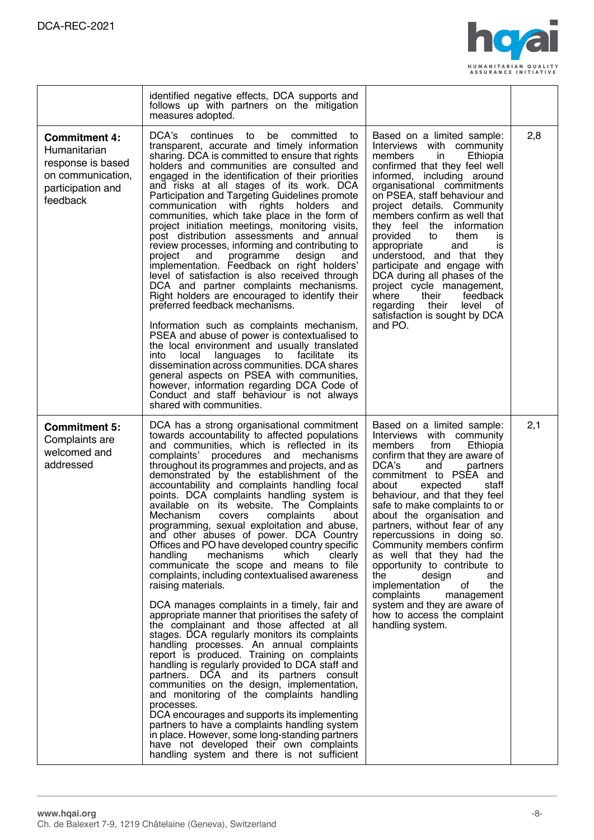

|                                                                                                                 | identified negative effects, DCA supports and<br>follows up with partners on the mitigation<br>measures adopted.                                                                                                                                                                                                                                                                                                                                                                                                                                                                                                                                                                                                                                                                                                                                                                                                                                                                                                                                                                                                                                                                                                                                                                                                                                                                                                                                                                                                                     |                                                                                                                                                                                                                                                                                                                                                                                                                                                                                                                                                                                                                                             |     |
|-----------------------------------------------------------------------------------------------------------------|--------------------------------------------------------------------------------------------------------------------------------------------------------------------------------------------------------------------------------------------------------------------------------------------------------------------------------------------------------------------------------------------------------------------------------------------------------------------------------------------------------------------------------------------------------------------------------------------------------------------------------------------------------------------------------------------------------------------------------------------------------------------------------------------------------------------------------------------------------------------------------------------------------------------------------------------------------------------------------------------------------------------------------------------------------------------------------------------------------------------------------------------------------------------------------------------------------------------------------------------------------------------------------------------------------------------------------------------------------------------------------------------------------------------------------------------------------------------------------------------------------------------------------------|---------------------------------------------------------------------------------------------------------------------------------------------------------------------------------------------------------------------------------------------------------------------------------------------------------------------------------------------------------------------------------------------------------------------------------------------------------------------------------------------------------------------------------------------------------------------------------------------------------------------------------------------|-----|
| <b>Commitment 4:</b><br>Humanitarian<br>response is based<br>on communication,<br>participation and<br>feedback | DCA's<br>continues to be<br>committed<br>to<br>transparent, accurate and timely information<br>sharing. DCA is committed to ensure that rights<br>holders and communities are consulted and<br>engaged in the identification of their priorities<br>and risks at all stages of its work. DCA<br>Participation and Targeting Guidelines promote<br>communication with rights holders<br>and<br>communities, which take place in the form of<br>project initiation meetings, monitoring visits,<br>post distribution assessments and annual<br>review processes, informing and contributing to<br>project<br>and<br>programme<br>design<br>and<br>implementation. Feedback on right holders'<br>level of satisfaction is also received through<br>DCA and partner complaints mechanisms.<br>Right holders are encouraged to identify their<br>preferred feedback mechanisms.<br>Information such as complaints mechanism,<br>PSEA and abuse of power is contextualised to<br>the local environment and usually translated<br>into<br>local<br>languages to facilitate<br>its<br>dissemination across communities. DCA shares<br>general aspects on PSEA with communities,<br>however, information regarding DCA Code of<br>Conduct and staff behaviour is not always<br>shared with communities.                                                                                                                                                                                                                                       | Based on a limited sample:<br>Interviews with community<br>members<br>in<br>Ethiopia<br>confirmed that they feel well<br>informed, including around<br>organisational commitments<br>on PSEA, staff behaviour and<br>project details. Community<br>members confirm as well that<br>they feel the<br>information<br>provided<br>them<br>to<br><b>is</b><br>appropriate<br>and<br>is<br>understood, and that they<br>participate and engage with<br>DCA during all phases of the<br>project cycle management,<br>their<br>where<br>feedback<br>regarding their<br>level of<br>satisfaction is sought by DCA<br>and PO.                        | 2,8 |
| <b>Commitment 5:</b><br>Complaints are<br>welcomed and<br>addressed                                             | DCA has a strong organisational commitment<br>towards accountability to affected populations<br>and communities, which is reflected in its<br>complaints' procedures and mechanisms<br>throughout its programmes and projects, and as<br>demonstrated by the establishment of the<br>accountability and complaints handling focal<br>points. DCA complaints handling system is<br>available on its website. The Complaints<br>Mechanism<br>covers<br>complaints<br>about<br>programming, sexual exploitation and abuse,<br>and other abuses of power. DCA Country<br>Offices and PO have developed country specific<br>handling<br>mechanisms<br>which<br>clearly<br>communicate the scope and means to file<br>complaints, including contextualised awareness<br>raising materials.<br>DCA manages complaints in a timely, fair and<br>appropriate manner that prioritises the safety of<br>the complainant and those affected at all<br>stages. DCA regularly monitors its complaints<br>handling processes. An annual complaints<br>report is produced. Training on complaints<br>handling is regularly provided to DCA staff and<br>partners. DCA and its partners consult<br>communities on the design, implementation,<br>and monitoring of the complaints handling<br>processes.<br>DCA encourages and supports its implementing<br>partners to have a complaints handling system<br>in place. However, some long-standing partners<br>have not developed their own complaints<br>handling system and there is not sufficient | Based on a limited sample:<br>Interviews with community<br>from<br>members<br>Ethiopia<br>confirm that they are aware of<br>DCA's<br>and<br>partners<br>commitment to PSEA and<br>about<br>expected<br>staff<br>behaviour, and that they feel<br>safe to make complaints to or<br>about the organisation and<br>partners, without fear of any<br>repercussions in doing so.<br>Community members confirm<br>as well that they had the<br>opportunity to contribute to<br>the<br>design<br>and<br>implementation<br>the<br>οf<br>complaints<br>management<br>system and they are aware of<br>how to access the complaint<br>handling system. | 2,1 |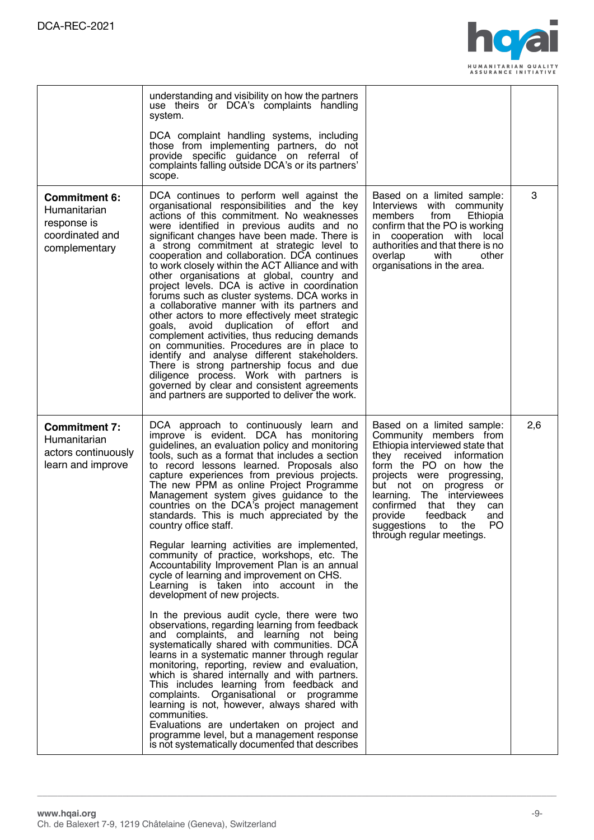

|                                                                                         | understanding and visibility on how the partners<br>use theirs or DCA's complaints handling<br>system.<br>DCA complaint handling systems, including<br>those from implementing partners, do not<br>provide specific guidance on referral of<br>complaints falling outside DCA's or its partners'<br>scope.                                                                                                                                                                                                                                                                                                                                                                                                                                                                                                                                                                                                                                                                                                                                                                                                                                                                                                                                                                                                                                                                                                         |                                                                                                                                                                                                                                                                                                                                                                          |     |
|-----------------------------------------------------------------------------------------|--------------------------------------------------------------------------------------------------------------------------------------------------------------------------------------------------------------------------------------------------------------------------------------------------------------------------------------------------------------------------------------------------------------------------------------------------------------------------------------------------------------------------------------------------------------------------------------------------------------------------------------------------------------------------------------------------------------------------------------------------------------------------------------------------------------------------------------------------------------------------------------------------------------------------------------------------------------------------------------------------------------------------------------------------------------------------------------------------------------------------------------------------------------------------------------------------------------------------------------------------------------------------------------------------------------------------------------------------------------------------------------------------------------------|--------------------------------------------------------------------------------------------------------------------------------------------------------------------------------------------------------------------------------------------------------------------------------------------------------------------------------------------------------------------------|-----|
| <b>Commitment 6:</b><br>Humanitarian<br>response is<br>coordinated and<br>complementary | DCA continues to perform well against the<br>organisational responsibilities and the key<br>actions of this commitment. No weaknesses<br>were identified in previous audits and no<br>significant changes have been made. There is<br>a strong commitment at strategic level to<br>cooperation and collaboration. DCA continues<br>to work closely within the ACT Alliance and with<br>other organisations at global, country and<br>project levels. DCA is active in coordination<br>forums such as cluster systems. DCA works in<br>a collaborative manner with its partners and<br>other actors to more effectively meet strategic<br>duplication of effort<br>qoals.<br>avoid<br>and<br>complement activities, thus reducing demands<br>on communities. Procedures are in place to<br>identify and analyse different stakeholders.<br>There is strong partnership focus and due<br>diligence process. Work with partners is<br>governed by clear and consistent agreements<br>and partners are supported to deliver the work.                                                                                                                                                                                                                                                                                                                                                                                  | Based on a limited sample:<br>Interviews with community<br>members<br>from<br>Ethiopia<br>confirm that the PO is working<br>in cooperation with local<br>authorities and that there is no<br>overlap<br>with<br>other<br>organisations in the area.                                                                                                                      | 3   |
| <b>Commitment 7:</b><br>Humanitarian<br>actors continuously<br>learn and improve        | DCA approach to continuously learn and<br>improve is evident. DCA has monitoring<br>guidelines, an evaluation policy and monitoring<br>tools, such as a format that includes a section<br>to record lessons learned. Proposals also<br>capture experiences from previous projects.<br>The new PPM as online Project Programme<br>Management system gives guidance to the<br>countries on the DCA's project management<br>standards. This is much appreciated by the<br>country office staff.<br>Regular learning activities are implemented,<br>community of practice, workshops, etc. The<br>Accountability Improvement Plan is an annual<br>cycle of learning and improvement on CHS.<br>Learning is taken into account in the<br>development of new projects.<br>In the previous audit cycle, there were two<br>observations, regarding learning from feedback<br>and complaints, and learning not being<br>systematically shared with communities. DCA<br>learns in a systematic manner through regular<br>monitoring, reporting, review and evaluation,<br>which is shared internally and with partners.<br>This includes learning from feedback and<br>complaints. Organisational or programme<br>learning is not, however, always shared with<br>communities.<br>Evaluations are undertaken on project and<br>programme level, but a management response<br>is not systematically documented that describes | Based on a limited sample:<br>Community members from<br>Ethiopia interviewed state that<br>information<br>they<br>received<br>form the PO on how the<br>projects were progressing,<br>but not on progress or<br>learning. The interviewees<br>confirmed<br>that thev<br>can<br>provide<br>feedback<br>and<br>PO<br>suggestions<br>to<br>the<br>through regular meetings. | 2,6 |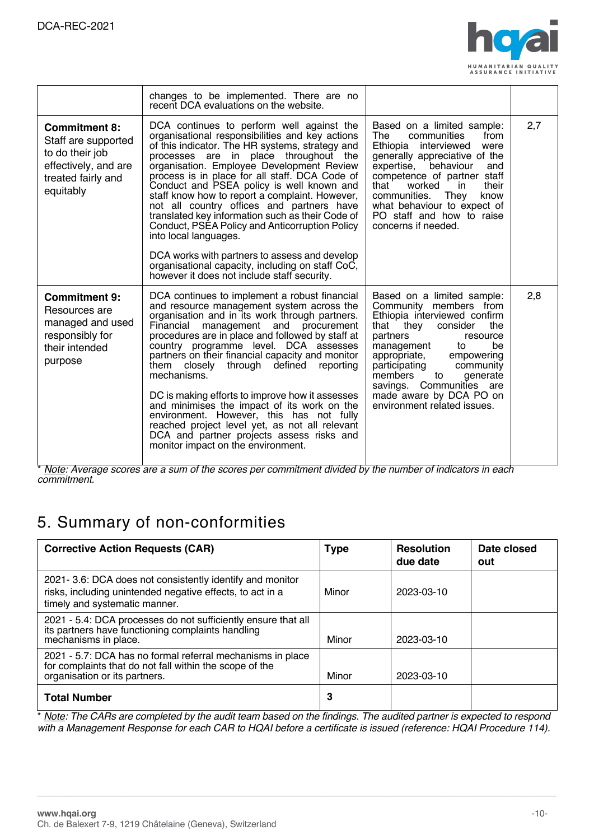

|                                                                                                                           | changes to be implemented. There are no<br>recent DCA evaluations on the website.                                                                                                                                                                                                                                                                                                                                                                                                                                                                                                                                                                                                                                      |                                                                                                                                                                                                                                                                                                                                                    |     |
|---------------------------------------------------------------------------------------------------------------------------|------------------------------------------------------------------------------------------------------------------------------------------------------------------------------------------------------------------------------------------------------------------------------------------------------------------------------------------------------------------------------------------------------------------------------------------------------------------------------------------------------------------------------------------------------------------------------------------------------------------------------------------------------------------------------------------------------------------------|----------------------------------------------------------------------------------------------------------------------------------------------------------------------------------------------------------------------------------------------------------------------------------------------------------------------------------------------------|-----|
| <b>Commitment 8:</b><br>Staff are supported<br>to do their job<br>effectively, and are<br>treated fairly and<br>equitably | DCA continues to perform well against the<br>organisational responsibilities and key actions<br>of this indicator. The HR systems, strategy and<br>processes are in place throughout the<br>organisation. Employee Development Review<br>process is in place for all staff. DCA Code of<br>Conduct and PSEA policy is well known and<br>staff know how to report a complaint. However,<br>not all country offices and partners have<br>translated key information such as their Code of<br>Conduct, PSEA Policy and Anticorruption Policy<br>into local languages.<br>DCA works with partners to assess and develop<br>organisational capacity, including on staff CoC,<br>however it does not include staff security. | Based on a limited sample:<br>The<br>communities<br>from<br>Ethiopia<br>interviewed<br>were<br>generally appreciative of the<br>expertise,<br>behaviour<br>and<br>competence of partner staff<br>that<br>their<br>worked<br>in<br>They<br>communities.<br>know<br>what behaviour to expect of<br>PO staff and how to raise<br>concerns if needed.  | 2,7 |
| <b>Commitment 9:</b><br>Resources are<br>managed and used<br>responsibly for<br>their intended<br>purpose                 | DCA continues to implement a robust financial<br>and resource management system across the<br>organisation and in its work through partners.<br>Financial management and procurement<br>procedures are in place and followed by staff at<br>country programme level. DCA assesses<br>partners on their financial capacity and monitor<br>them closely through defined<br>reporting<br>mechanisms.<br>DC is making efforts to improve how it assesses<br>and minimises the impact of its work on the<br>environment. However, this has not fully<br>reached project level yet, as not all relevant<br>DCA and partner projects assess risks and<br>monitor impact on the environment.                                   | Based on a limited sample:<br>Community members from<br>Ethiopia interviewed confirm<br>that they consider<br>the<br>partners<br>resource<br>management<br>be<br>to<br>appropriate,<br>empowering<br>participating<br>community<br>members<br>to<br>generate<br>savings. Communities are<br>made aware by DCA PO on<br>environment related issues. | 2,8 |

\* <u>Note</u>: Average scores are a sum of the scores per commitment divided by the number of indicators in each *commitment.*

### 5. Summary of non-conformities

| <b>Corrective Action Requests (CAR)</b>                                                                                                                  | <b>Type</b> | <b>Resolution</b><br>due date | Date closed<br>out |
|----------------------------------------------------------------------------------------------------------------------------------------------------------|-------------|-------------------------------|--------------------|
| 2021 - 3.6: DCA does not consistently identify and monitor<br>risks, including unintended negative effects, to act in a<br>timely and systematic manner. | Minor       | 2023-03-10                    |                    |
| 2021 - 5.4: DCA processes do not sufficiently ensure that all<br>its partners have functioning complaints handling<br>mechanisms in place.               | Minor       | 2023-03-10                    |                    |
| 2021 - 5.7: DCA has no formal referral mechanisms in place<br>for complaints that do not fall within the scope of the<br>organisation or its partners.   | Minor       | 2023-03-10                    |                    |
| <b>Total Number</b>                                                                                                                                      | 3           |                               |                    |

\* Note: The CARs are completed by the audit team based on the findings. The audited partner is expected to respond with a Management Response for each CAR to HQAI before a certificate is issued (reference: HQAI Procedure 114).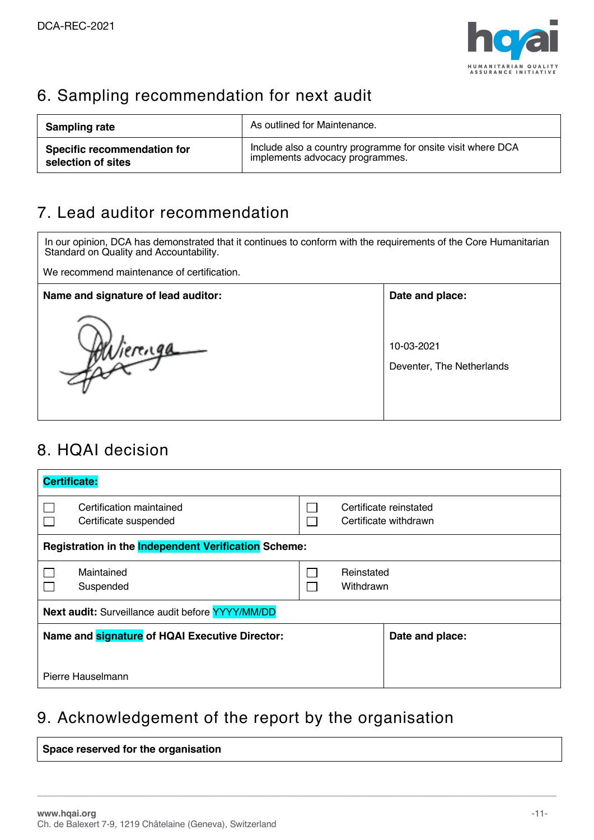

## 6. Sampling recommendation for next audit

| <b>Sampling rate</b>               | As outlined for Maintenance.                                |
|------------------------------------|-------------------------------------------------------------|
| <b>Specific recommendation for</b> | Include also a country programme for onsite visit where DCA |
| selection of sites                 | implements advocacy programmes.                             |

### 7. Lead auditor recommendation

In our opinion, DCA has demonstrated that it continues to conform with the requirements of the Core Humanitarian Standard on Quality and Accountability. We recommend maintenance of certification. Name and signature of lead auditor: **Name and place: Date and place:** 10-03-2021 Wierenga Deventer, The Netherlands

## 8. HQAI decision

| <b>Certificate:</b>                                            |                                                      |                                                           |  |  |
|----------------------------------------------------------------|------------------------------------------------------|-----------------------------------------------------------|--|--|
|                                                                | Certification maintained<br>Certificate suspended    | Certificate reinstated<br>Certificate withdrawn<br>$\sim$ |  |  |
|                                                                | Registration in the Independent Verification Scheme: |                                                           |  |  |
|                                                                | Maintained<br>Suspended                              | Reinstated<br>Withdrawn                                   |  |  |
| <b>Next audit:</b> Surveillance audit before <b>YYYY/MM/DD</b> |                                                      |                                                           |  |  |
| Name and signature of HQAI Executive Director:                 |                                                      | Date and place:                                           |  |  |
| Pierre Hauselmann                                              |                                                      |                                                           |  |  |

### 9. Acknowledgement of the report by the organisation

| Space reserved for the organisation |
|-------------------------------------|
|-------------------------------------|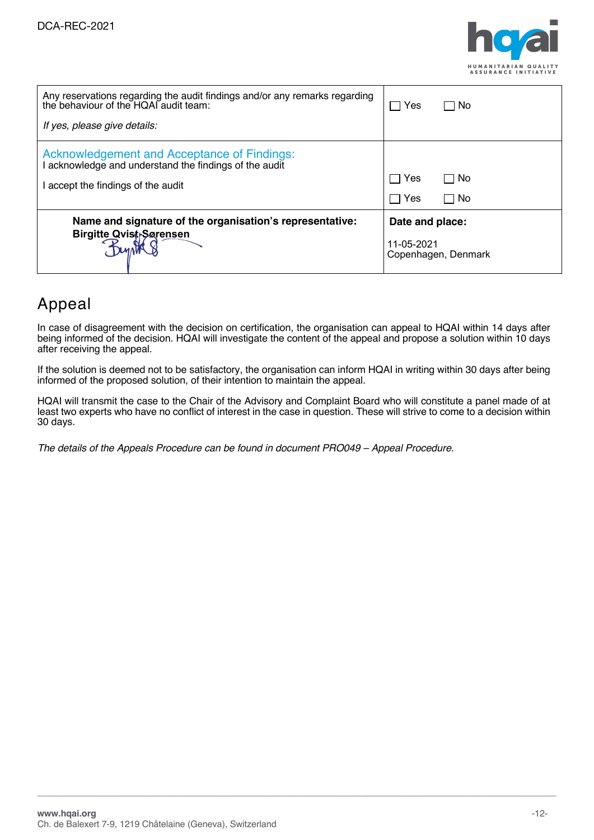

| Any reservations regarding the audit findings and/or any remarks regarding<br>the behaviour of the HQAI audit team: | Yes                               | No.             |  |
|---------------------------------------------------------------------------------------------------------------------|-----------------------------------|-----------------|--|
| If yes, please give details:                                                                                        |                                   |                 |  |
| <b>Acknowledgement and Acceptance of Findings:</b><br>I acknowledge and understand the findings of the audit        |                                   |                 |  |
| I accept the findings of the audit                                                                                  | Yes                               | □ No            |  |
|                                                                                                                     | Yes                               | $\Box$ No       |  |
| Name and signature of the organisation's representative:                                                            |                                   | Date and place: |  |
| <b>Birgitte Qvist-Sarensen</b>                                                                                      | 11-05-2021<br>Copenhagen, Denmark |                 |  |

### Appeal

In case of disagreement with the decision on certification, the organisation can appeal to HQAI within 14 days after being informed of the decision. HQAI will investigate the content of the appeal and propose a solution within 10 days after receiving the appeal.

If the solution is deemed not to be satisfactory, the organisation can inform HQAI in writing within 30 days after being informed of the proposed solution, of their intention to maintain the appeal.

HQAI will transmit the case to the Chair of the Advisory and Complaint Board who will constitute a panel made of at least two experts who have no conflict of interest in the case in question. These will strive to come to a decision within 30 days.

**\_\_\_\_\_\_\_\_\_\_\_\_\_\_\_\_\_\_\_\_\_\_\_\_\_\_\_\_\_\_\_\_\_\_\_\_\_\_\_\_\_\_\_\_\_\_\_\_\_\_\_\_\_\_\_\_\_\_\_\_\_\_\_\_\_\_\_\_\_\_\_\_\_\_\_\_\_\_\_\_\_\_\_\_\_\_\_\_\_\_\_\_\_\_\_\_\_\_\_\_\_\_\_\_**

*The details of the Appeals Procedure can be found in document PRO049 – Appeal Procedure.*